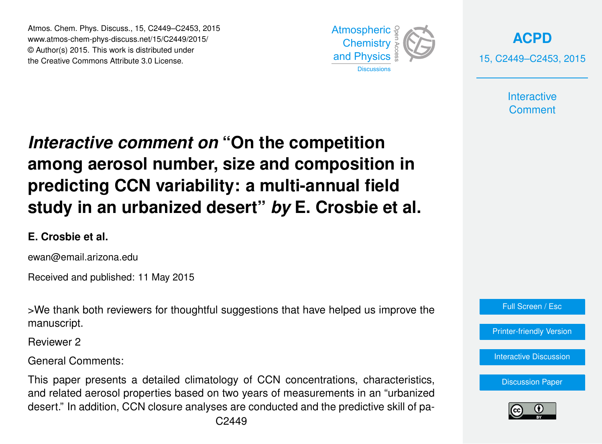Atmos. Chem. Phys. Discuss., 15, C2449–C2453, 2015 www.atmos-chem-phys-discuss.net/15/C2449/2015/ © Author(s) 2015. This work is distributed under the Creative Commons Attribute 3.0 License.



**[ACPD](http://www.atmos-chem-phys-discuss.net)** 15, C2449–C2453, 2015

> **Interactive Comment**

## *Interactive comment on* **"On the competition among aerosol number, size and composition in predicting CCN variability: a multi-annual field study in an urbanized desert"** *by* **E. Crosbie et al.**

## **E. Crosbie et al.**

ewan@email.arizona.edu

Received and published: 11 May 2015

>We thank both reviewers for thoughtful suggestions that have helped us improve the manuscript.

Reviewer 2

General Comments:

This paper presents a detailed climatology of CCN concentrations, characteristics, and related aerosol properties based on two years of measurements in an "urbanized desert." In addition, CCN closure analyses are conducted and the predictive skill of pa-



[Printer-friendly Version](http://www.atmos-chem-phys-discuss.net/15/C2449/2015/acpd-15-C2449-2015-print.pdf)

[Interactive Discussion](http://www.atmos-chem-phys-discuss.net/15/3863/2015/acpd-15-3863-2015-discussion.html)

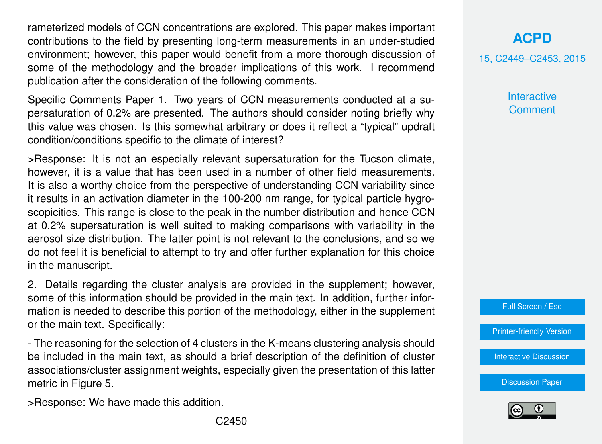rameterized models of CCN concentrations are explored. This paper makes important contributions to the field by presenting long-term measurements in an under-studied environment; however, this paper would benefit from a more thorough discussion of some of the methodology and the broader implications of this work. I recommend publication after the consideration of the following comments.

Specific Comments Paper 1. Two years of CCN measurements conducted at a supersaturation of 0.2% are presented. The authors should consider noting briefly why this value was chosen. Is this somewhat arbitrary or does it reflect a "typical" updraft condition/conditions specific to the climate of interest?

>Response: It is not an especially relevant supersaturation for the Tucson climate, however, it is a value that has been used in a number of other field measurements. It is also a worthy choice from the perspective of understanding CCN variability since it results in an activation diameter in the 100-200 nm range, for typical particle hygroscopicities. This range is close to the peak in the number distribution and hence CCN at 0.2% supersaturation is well suited to making comparisons with variability in the aerosol size distribution. The latter point is not relevant to the conclusions, and so we do not feel it is beneficial to attempt to try and offer further explanation for this choice in the manuscript.

2. Details regarding the cluster analysis are provided in the supplement; however, some of this information should be provided in the main text. In addition, further information is needed to describe this portion of the methodology, either in the supplement or the main text. Specifically:

- The reasoning for the selection of 4 clusters in the K-means clustering analysis should be included in the main text, as should a brief description of the definition of cluster associations/cluster assignment weights, especially given the presentation of this latter metric in Figure 5.

>Response: We have made this addition.

15, C2449–C2453, 2015

**Interactive Comment** 

Full Screen / Esc

[Printer-friendly Version](http://www.atmos-chem-phys-discuss.net/15/C2449/2015/acpd-15-C2449-2015-print.pdf)

[Interactive Discussion](http://www.atmos-chem-phys-discuss.net/15/3863/2015/acpd-15-3863-2015-discussion.html)

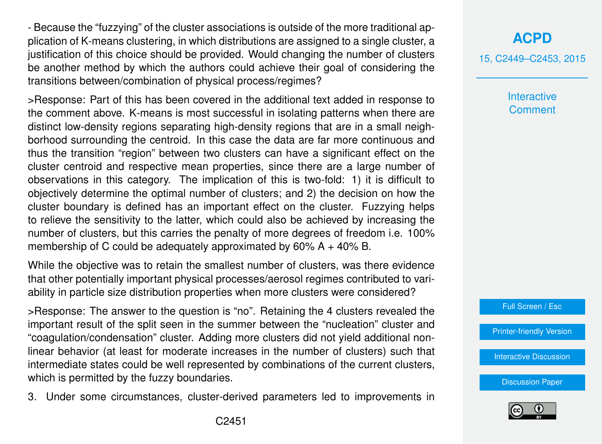- Because the "fuzzying" of the cluster associations is outside of the more traditional application of K-means clustering, in which distributions are assigned to a single cluster, a justification of this choice should be provided. Would changing the number of clusters be another method by which the authors could achieve their goal of considering the transitions between/combination of physical process/regimes?

>Response: Part of this has been covered in the additional text added in response to the comment above. K-means is most successful in isolating patterns when there are distinct low-density regions separating high-density regions that are in a small neighborhood surrounding the centroid. In this case the data are far more continuous and thus the transition "region" between two clusters can have a significant effect on the cluster centroid and respective mean properties, since there are a large number of observations in this category. The implication of this is two-fold: 1) it is difficult to objectively determine the optimal number of clusters; and 2) the decision on how the cluster boundary is defined has an important effect on the cluster. Fuzzying helps to relieve the sensitivity to the latter, which could also be achieved by increasing the number of clusters, but this carries the penalty of more degrees of freedom i.e. 100% membership of C could be adequately approximated by 60% A + 40% B.

While the objective was to retain the smallest number of clusters, was there evidence that other potentially important physical processes/aerosol regimes contributed to variability in particle size distribution properties when more clusters were considered?

>Response: The answer to the question is "no". Retaining the 4 clusters revealed the important result of the split seen in the summer between the "nucleation" cluster and "coagulation/condensation" cluster. Adding more clusters did not yield additional nonlinear behavior (at least for moderate increases in the number of clusters) such that intermediate states could be well represented by combinations of the current clusters, which is permitted by the fuzzy boundaries.

3. Under some circumstances, cluster-derived parameters led to improvements in

## **[ACPD](http://www.atmos-chem-phys-discuss.net)**

15, C2449–C2453, 2015

**Interactive Comment** 

Full Screen / Esc

[Printer-friendly Version](http://www.atmos-chem-phys-discuss.net/15/C2449/2015/acpd-15-C2449-2015-print.pdf)

[Interactive Discussion](http://www.atmos-chem-phys-discuss.net/15/3863/2015/acpd-15-3863-2015-discussion.html)

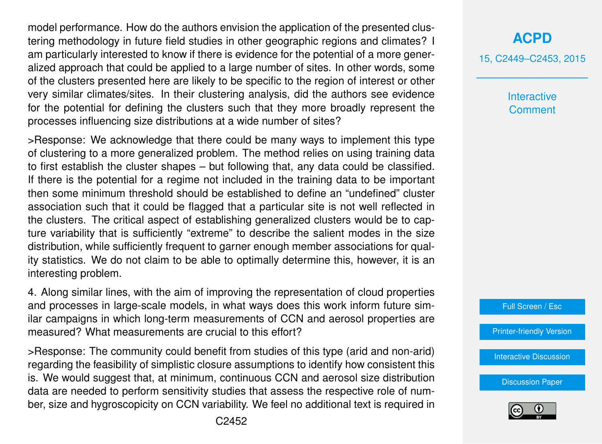model performance. How do the authors envision the application of the presented clustering methodology in future field studies in other geographic regions and climates? I am particularly interested to know if there is evidence for the potential of a more generalized approach that could be applied to a large number of sites. In other words, some of the clusters presented here are likely to be specific to the region of interest or other very similar climates/sites. In their clustering analysis, did the authors see evidence for the potential for defining the clusters such that they more broadly represent the processes influencing size distributions at a wide number of sites?

>Response: We acknowledge that there could be many ways to implement this type of clustering to a more generalized problem. The method relies on using training data to first establish the cluster shapes – but following that, any data could be classified. If there is the potential for a regime not included in the training data to be important then some minimum threshold should be established to define an "undefined" cluster association such that it could be flagged that a particular site is not well reflected in the clusters. The critical aspect of establishing generalized clusters would be to capture variability that is sufficiently "extreme" to describe the salient modes in the size distribution, while sufficiently frequent to garner enough member associations for quality statistics. We do not claim to be able to optimally determine this, however, it is an interesting problem.

4. Along similar lines, with the aim of improving the representation of cloud properties and processes in large-scale models, in what ways does this work inform future similar campaigns in which long-term measurements of CCN and aerosol properties are measured? What measurements are crucial to this effort?

>Response: The community could benefit from studies of this type (arid and non-arid) regarding the feasibility of simplistic closure assumptions to identify how consistent this is. We would suggest that, at minimum, continuous CCN and aerosol size distribution data are needed to perform sensitivity studies that assess the respective role of number, size and hygroscopicity on CCN variability. We feel no additional text is required in **[ACPD](http://www.atmos-chem-phys-discuss.net)**

15, C2449–C2453, 2015

**Interactive Comment** 



[Printer-friendly Version](http://www.atmos-chem-phys-discuss.net/15/C2449/2015/acpd-15-C2449-2015-print.pdf)

[Interactive Discussion](http://www.atmos-chem-phys-discuss.net/15/3863/2015/acpd-15-3863-2015-discussion.html)